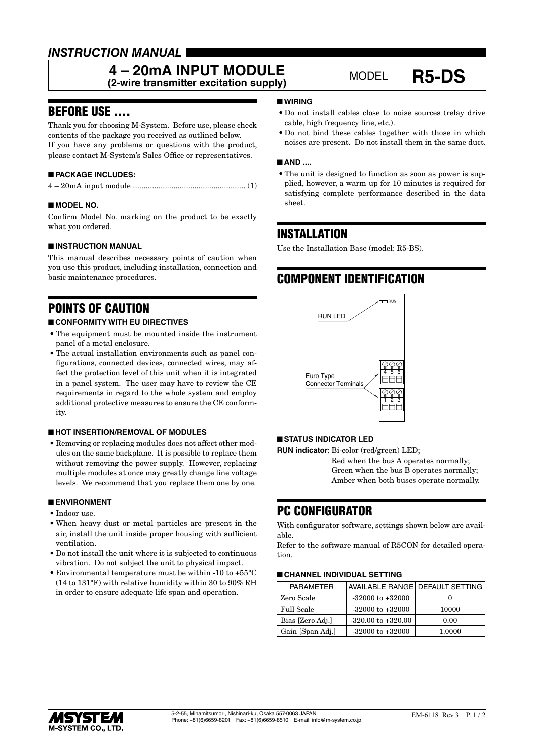# *INSTRUCTION MANUAL*

### **4 – 20mA INPUT MODULE 4 – 20MA INPUT MODULE**<br>(2-wire transmitter excitation supply) MODEL **R5-DS**

### BEFORE USE ....

Thank you for choosing M-System. Before use, please check contents of the package you received as outlined below. If you have any problems or questions with the product, please contact M-System's Sales Office or representatives.

### ■ **PACKAGE INCLUDES:**

|--|--|--|--|--|

### ■ **MODEL NO.**

Confirm Model No. marking on the product to be exactly what you ordered.

### ■ **INSTRUCTION MANUAL**

This manual describes necessary points of caution when you use this product, including installation, connection and basic maintenance procedures.

# POINTS OF CAUTION

### ■ **CONFORMITY WITH EU DIRECTIVES**

- The equipment must be mounted inside the instrument panel of a metal enclosure.
- The actual installation environments such as panel configurations, connected devices, connected wires, may affect the protection level of this unit when it is integrated in a panel system. The user may have to review the CE requirements in regard to the whole system and employ additional protective measures to ensure the CE conformity.

### ■ **HOT INSERTION/REMOVAL OF MODULES**

• Removing or replacing modules does not affect other modules on the same backplane. It is possible to replace them without removing the power supply. However, replacing multiple modules at once may greatly change line voltage levels. We recommend that you replace them one by one.

#### ■ **ENVIRONMENT**

- Indoor use.
- When heavy dust or metal particles are present in the air, install the unit inside proper housing with sufficient ventilation.
- Do not install the unit where it is subjected to continuous vibration. Do not subject the unit to physical impact.
- Environmental temperature must be within -10 to +55°C (14 to 131°F) with relative humidity within 30 to 90% RH in order to ensure adequate life span and operation.

### ■ **WIRING**

- Do not install cables close to noise sources (relay drive cable, high frequency line, etc.).
- Do not bind these cables together with those in which noises are present. Do not install them in the same duct.

#### ■ AND ....

• The unit is designed to function as soon as power is supplied, however, a warm up for 10 minutes is required for satisfying complete performance described in the data sheet.

### INSTALLATION

Use the Installation Base (model: R5-BS).

# COMPONENT IDENTIFICATION



### ■ **STATUS INDICATOR LED**

**RUN indicator**: Bi-color (red/green) LED;

Red when the bus A operates normally; Green when the bus B operates normally; Amber when both buses operate normally.

### PC CONFIGURATOR

With configurator software, settings shown below are available.

Refer to the software manual of R5CON for detailed operation.

### ■ **CHANNEL INDIVIDUAL SETTING**

| <b>PARAMETER</b> | AVAILABLE RANGE   DEFAULT SETTING |        |
|------------------|-----------------------------------|--------|
| Zero Scale       | $-32000$ to $+32000$              |        |
| Full Scale       | $-32000$ to $+32000$              | 10000  |
| Bias [Zero Adj.] | $-320.00$ to $+320.00$            | 0.00   |
| Gain [Span Adj.] | $-32000$ to $+32000$              | 1.0000 |